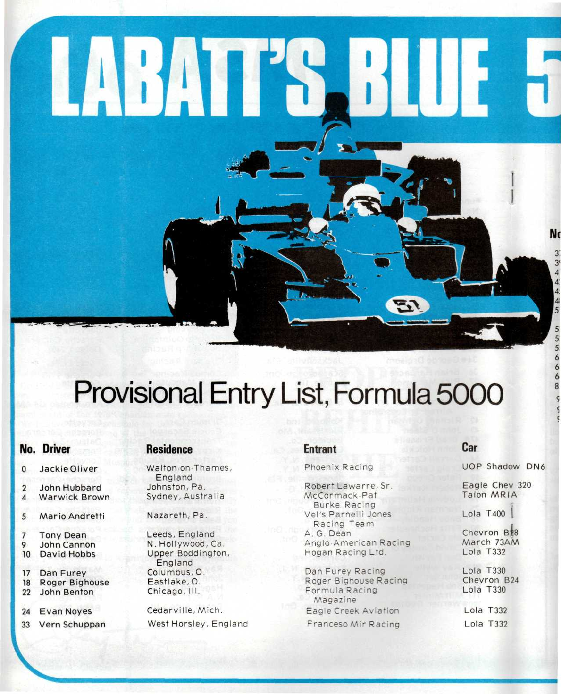

# Provisional Entry List, Formula 5000

### **No. Driver**

0 JackieOliver

- 2 John Hubbard
- 4 Warwick Brown
- 5 Mario Andretti
- 7 Tony Dean 9 John Cannon<br>10 David Hobbs
- David Hobbs
- 17 Dan Furey 18 Roger Bighouse<br>22 John Benton John Benton
- 24 Evan Noyes
- 33 Vern Schuppan

### **Residence**

Walton-on-Thames, England Johnston, Pa. Sydney, Australia

Nazareth, Pa.

Leeds, England N. Hollywood, Ca. Upper Boddington, England Columbus, O. Eastlake, O. Chicago, III.

Cedarville, Mich. West Horsley, England

## **Entrant**

Phoenix Racing

Robert Lawarre, Sr. McCormack-Pat Burke Racing Vel's Parnelli Jones Racing Team A. G. Dean Anglo-American Racing Hogan Racing Ltd.

Dan Furey Racing Roger Bighouse Racing Formula Racing Magazine Eagle Creek Aviation Franceso Mir Racing

## **Car**

UOP Shadow DN6

Eagle Chev 320 Talon MRIA

Lola  $T400$ 

Chevron B<sub>28</sub> March 73AM Lola T332

Lola T330 Chevron B24 Lola T330

Lola T332 Lola T332